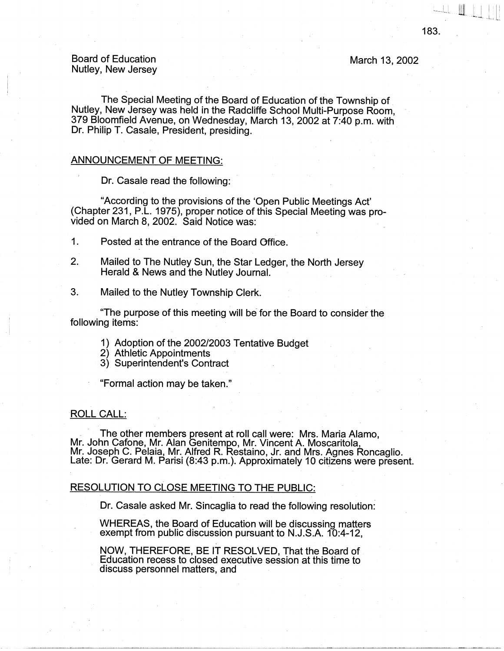March 13, 2002

# Board of Education Nutley, New Jersey

The Special Meeting of the Board of Education of the Township of. Nutley, New Jersey was held in the Radcliffe School Multi-Purpose Room, 379 Bloomfield Avenue, on Wednesday, March 13, 2002 at 7:40 p.m. with Dr. Philip T. Casale, President, presiding.

## ANNOUNCEMENT OF MEETING:

Dr. Casale read the following:

"According to the provisions of the 'Open Public Meetings Act' (Chapter 231, P.L. 1975), proper notice of this Special Meeting was provided on March 8, 2002. Said Notice was:

- 1. Posted at the entrance of the Board Office.
- 2. Mailed to The Nutley Sun, the Star Ledger, the North Jersey Herald & News and the Nutley Journal.
- 3. Mailed to the Nutley Township Clerk.

"The purpose of this meeting will be for the Board to consider the following items:

- 1) Adoption of the 2002/2003 Tentative Budget
- 2) Athletic Appointments
- 3) Superintendent's Contract

"Formal action may be taken."

#### ROLL CALL:

. · The other members present at roll call were: Mrs. Maria Alamo, Mr. John Cafone, Mr. Alan Genitempo, Mr. Vincent A. Moscaritola, Mr. Joseph C. Pelaia, Mr. Alfred R. Restaino, Jr. and Mrs. Agnes Roncaglio. Late: Dr. Gerard M. Parisi (8:43 p.m.). Approximately 10 citizens were present.

### RESOLUTION TO CLOSE MEETING TO THE PUBLIC:

Dr. Casale asked Mr. Sincaglia to read the following resolution:

WHEREAS, the Board of Education will be discussing matters exempt from public discussion pursuant to N.J.S.A. 10:4-12,

NOW, THEREFORE, BE IT RESOLVED, That the Board of . Education recess to closed executive session at this time to discuss personnel matters, and

 $\begin{picture}(18,10) \put(0,0){\line(1,0){10}} \put(10,0){\line(1,0){10}} \put(10,0){\line(1,0){10}} \put(10,0){\line(1,0){10}} \put(10,0){\line(1,0){10}} \put(10,0){\line(1,0){10}} \put(10,0){\line(1,0){10}} \put(10,0){\line(1,0){10}} \put(10,0){\line(1,0){10}} \put(10,0){\line(1,0){10}} \put(10,0){\line(1,0){10}} \put(10,0){\line(1$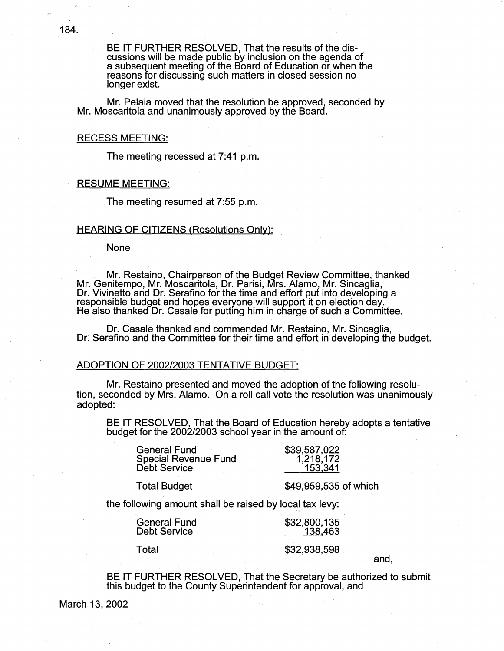BE IT FURTHER RESOLVED, That the results of the dis-<br>cussions will be made public by inclusion on the agenda of a subsequent meeting of the Board of Education or when the reasons for discussing such matters in closed session no longer exist.

Mr. Pelaia moved that the resolution be approved, seconded by Mr. Moscaritola and unanimously approved by the Board.

# RECESS MEETING:

The meeting recessed at 7:41 p.m.

#### RESUME MEETING:

The meeting resumed at 7:55 p.m.

#### HEARING OF CITIZENS (Resolutions Only):

None

· . . Mr. Restaino, Chairperson of the Budget Review Committee, thanked Mr. Genitempo, Mr. Moscaritola, Dr. Parisi, Mrs. Alamo, Mr. Sincaglia, Dr. Vivinetto and Dr. Serafino for the time and effort put into developing a responsible budget and hopes everyone will support it on election day. He also thanked Dr. Casale for putting him in charge of such a Committee.

Dr. Casale thanked and commended Mr. Restaino, Mr. Sincaglia, Dr: Serafino and the Committee for their time and effort in developing the budget.

### ADOPTION OF 2002/2003 TENTATIVE BUDGET:

Mr. Restaino presented and moved the adoption of the following resolution, seconded by Mrs. Alamo. On a roll call vote the resolution was unanimously adopted:

BE IT RESOLVED, That the Board of Education hereby adopts a tentative budget for the 2002/2003 school year in the amount of:

| 1,218,172 |
|-----------|
| 153,341   |
|           |

Total Budget

\$49,959,535 of which

the following amount shall be raised by local tax levy:

| <b>General Fund</b> |  |
|---------------------|--|
| <b>Debt Service</b> |  |

Total

\$32,938,598

\$32,800,135 138,463

and,

BE IT FURTHER RESOLVED, That the Secretary be authorized to submit this budget to the County Superintendent for approval, and

March 13, 2002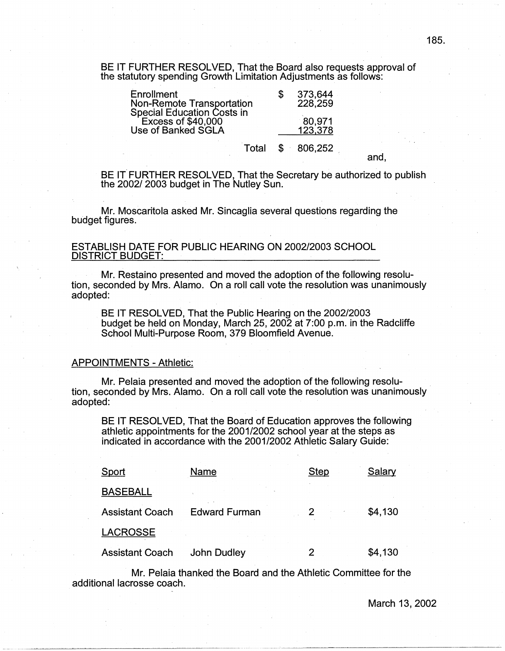BE IT FURTHER RESOLVED, That the Board also requests approval of the statutory spending Growth Limitation Adjustments as follows:

| Enrollment<br><b>Non-Remote Transportation</b>                                | 373,644<br>228,259 |  |
|-------------------------------------------------------------------------------|--------------------|--|
| Special Education Costs in<br><b>Excess of \$40,000</b><br>Use of Banked SGLA | 80,971<br>123,378  |  |
|                                                                               | Total \$ 806,252   |  |

BE IT FURTHER RESOLVED, That the Secretary be authorized to publish the 2002/ 2003 budget in The Nutley Sun.

Mr. Moscaritola asked Mr. Sincaglia several questions regarding the budget figures.

# ESTABLISH DATE FOR PUBLIC HEARING ON 2002/2003 SCHOOL DISTRICT BUDGET:

Mr. Restaino presented and moved the adoption of the following resolution, seconded by Mrs. Alamo. On a roll call vote the resolution was unanimously adopted:

BE IT RESOLVED, That the Public Hearing on the 2002/2003 budget be held on Monday, March 25, 2002 at 7:00 p.m. in the Radcliffe School Multi-Purpose Room, 379 Bloomfield Avenue.

#### APPOINTMENTS - Athletic:

Mr. Pelaia presented and moved the adoption of the following resolution, seconded by Mrs. Alamo. On a roll call vote the resolution was unanimously adopted:

BE IT RESOLVED, That the Board of Education approves the following athletic appointments for the 2001/2002 school year at the steps as indicated in accordance with the 2001/2002 Athletic Salary Guide:

| Sport                  | Name                 | <b>Step</b> | Salary  |
|------------------------|----------------------|-------------|---------|
| <b>BASEBALL</b>        |                      |             |         |
| <b>Assistant Coach</b> | <b>Edward Furman</b> |             | \$4,130 |
| <b>LACROSSE</b>        |                      |             |         |
| <b>Assistant Coach</b> | <b>John Dudley</b>   |             | \$4,130 |

Mr. Pelaia thanked the Board and the Athletic Committee for the additional lacrosse coach.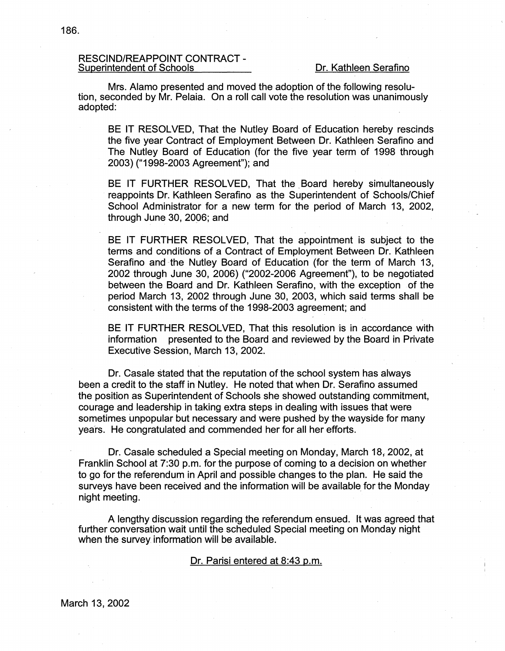# RESCIND/REAPPOINT CONTRACT-Superintendent of Schools Dr. Kathleen Serafino

Mrs. Alamo presented and moved the adoption of the following resolution, seconded by Mr. Pelaia. On a roll call vote the resolution was unanimously adopted:

BE IT RESOLVED, That the Nutley Board of Education hereby rescinds the five year Contract of Employment Between Dr. Kathleen Serafino and The Nutley Board of Education (for the five year term of 1998 through 2003) ("1998-2003 Agreement"); and

BE IT FURTHER RESOLVED, That the Board hereby simultaneously reappoints Dr. Kathleen Serafino as the Superintendent of Schools/Chief School Administrator for a new term for the period of March 13, 2002, through June 30, 2006; and

BE IT FURTHER RESOLVED, That the appointment is subject to the terms and conditions of a Contract of Employment Between Dr. Kathleen Serafino and the Nutley Board of Education (for the term of March 13, 2002 through June 30, 2006) ("2002-2006 Agreement"), to be negotiated between the Board and Dr. Kathleen Serafino, with the exception of the period March 13, 2002 through June 30, 2003, which said terms shall be consistent with the terms of the 1998-2003 agreement; and

BE IT FURTHER RESOLVED, That this resolution is in accordance with information presented to the Board and reviewed by the Board in Private Executive Session, March 13, 2002.

Dr. Casale stated that the reputation of the school system has always been a credit to the staff in Nutley. He noted that when Dr. Serafino assumed the position as Superintendent of Schools she showed outstanding commitment, courage and leadership in taking extra steps in dealing with issues that were sometimes unpopular but necessary and were pushed by the wayside for many years. He congratulated and commended her for all her efforts.

Dr. Casale scheduled a Special meeting on Monday, March 18, 2002, at Franklin School at 7:30 p.m. for the purpose of coming to a decision on whether to go for the referendum in April and possible changes to the plan. He said the surveys have been received and the information will be available for the Monday night meeting.

A lengthy discussion regarding the referendum ensued. It was agreed that further conversation wait until the scheduled Special meeting on Monday night when the survey information will be available.

### Dr. Parisi entered at 8:43 p.m.